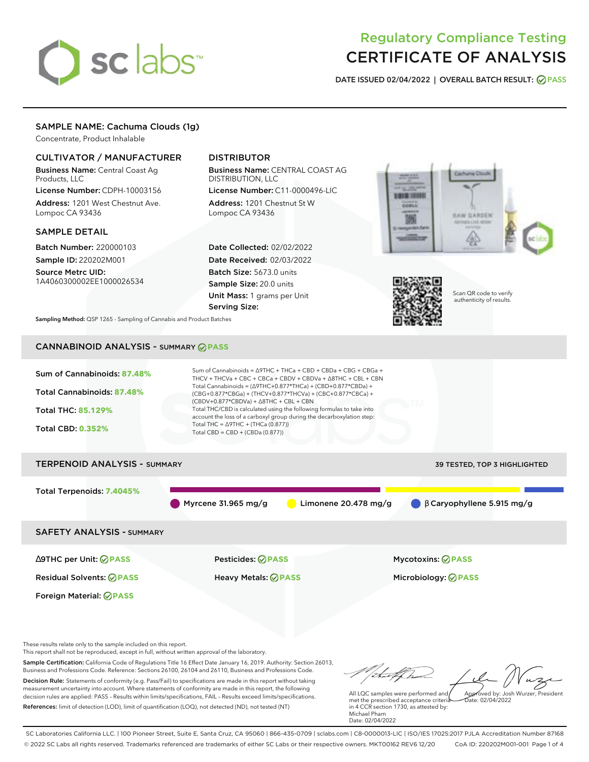# sclabs<sup>\*</sup>

# Regulatory Compliance Testing CERTIFICATE OF ANALYSIS

**DATE ISSUED 02/04/2022 | OVERALL BATCH RESULT: PASS**

# SAMPLE NAME: Cachuma Clouds (1g)

Concentrate, Product Inhalable

# CULTIVATOR / MANUFACTURER

Business Name: Central Coast Ag Products, LLC

License Number: CDPH-10003156 Address: 1201 West Chestnut Ave. Lompoc CA 93436

# SAMPLE DETAIL

Batch Number: 220000103 Sample ID: 220202M001

Source Metrc UID: 1A4060300002EE1000026534

# DISTRIBUTOR

Business Name: CENTRAL COAST AG DISTRIBUTION, LLC

License Number: C11-0000496-LIC Address: 1201 Chestnut St W Lompoc CA 93436

Date Collected: 02/02/2022 Date Received: 02/03/2022 Batch Size: 5673.0 units Sample Size: 20.0 units Unit Mass: 1 grams per Unit Serving Size:





Scan QR code to verify authenticity of results.

**Sampling Method:** QSP 1265 - Sampling of Cannabis and Product Batches

# CANNABINOID ANALYSIS - SUMMARY **PASS**



These results relate only to the sample included on this report.

This report shall not be reproduced, except in full, without written approval of the laboratory.

Sample Certification: California Code of Regulations Title 16 Effect Date January 16, 2019. Authority: Section 26013, Business and Professions Code. Reference: Sections 26100, 26104 and 26110, Business and Professions Code. Decision Rule: Statements of conformity (e.g. Pass/Fail) to specifications are made in this report without taking measurement uncertainty into account. Where statements of conformity are made in this report, the following decision rules are applied: PASS – Results within limits/specifications, FAIL – Results exceed limits/specifications.

References: limit of detection (LOD), limit of quantification (LOQ), not detected (ND), not tested (NT)

tu of h Approved by: Josh Wurzer, President

 $\frac{1}{2}$ ate: 02/04/2022

All LQC samples were performed and met the prescribed acceptance criteria in 4 CCR section 1730, as attested by: Michael Pham Date: 02/04/2022

SC Laboratories California LLC. | 100 Pioneer Street, Suite E, Santa Cruz, CA 95060 | 866-435-0709 | sclabs.com | C8-0000013-LIC | ISO/IES 17025:2017 PJLA Accreditation Number 87168 © 2022 SC Labs all rights reserved. Trademarks referenced are trademarks of either SC Labs or their respective owners. MKT00162 REV6 12/20 CoA ID: 220202M001-001 Page 1 of 4